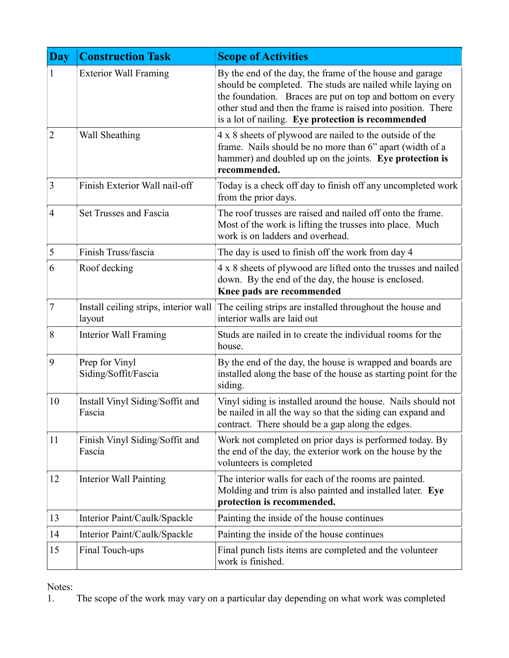| <b>Day</b>     | <b>Construction Task</b>                        | <b>Scope of Activities</b>                                                                                                                                                                                                                                                                               |
|----------------|-------------------------------------------------|----------------------------------------------------------------------------------------------------------------------------------------------------------------------------------------------------------------------------------------------------------------------------------------------------------|
|                | <b>Exterior Wall Framing</b>                    | By the end of the day, the frame of the house and garage<br>should be completed. The studs are nailed while laying on<br>the foundation. Braces are put on top and bottom on every<br>other stud and then the frame is raised into position. There<br>is a lot of nailing. Eye protection is recommended |
| $\overline{2}$ | Wall Sheathing                                  | 4 x 8 sheets of plywood are nailed to the outside of the<br>frame. Nails should be no more than 6" apart (width of a<br>hammer) and doubled up on the joints. Eye protection is<br>recommended.                                                                                                          |
| 3              | Finish Exterior Wall nail-off                   | Today is a check off day to finish off any uncompleted work<br>from the prior days.                                                                                                                                                                                                                      |
| $\overline{4}$ | Set Trusses and Fascia                          | The roof trusses are raised and nailed off onto the frame.<br>Most of the work is lifting the trusses into place. Much<br>work is on ladders and overhead.                                                                                                                                               |
| 5              | Finish Truss/fascia                             | The day is used to finish off the work from day 4                                                                                                                                                                                                                                                        |
| 6              | Roof decking                                    | 4 x 8 sheets of plywood are lifted onto the trusses and nailed<br>down. By the end of the day, the house is enclosed.<br>Knee pads are recommended                                                                                                                                                       |
| $\overline{7}$ | Install ceiling strips, interior wall<br>layout | The ceiling strips are installed throughout the house and<br>interior walls are laid out                                                                                                                                                                                                                 |
| 8              | Interior Wall Framing                           | Studs are nailed in to create the individual rooms for the<br>house.                                                                                                                                                                                                                                     |
| 9              | Prep for Vinyl<br>Siding/Soffit/Fascia          | By the end of the day, the house is wrapped and boards are<br>installed along the base of the house as starting point for the<br>siding.                                                                                                                                                                 |
| 10             | Install Vinyl Siding/Soffit and<br>Fascia       | Vinyl siding is installed around the house. Nails should not<br>be nailed in all the way so that the siding can expand and<br>contract. There should be a gap along the edges.                                                                                                                           |
| 11             | Finish Vinyl Siding/Soffit and<br>Fascia        | Work not completed on prior days is performed today. By<br>the end of the day, the exterior work on the house by the<br>volunteers is completed                                                                                                                                                          |
| 12             | Interior Wall Painting                          | The interior walls for each of the rooms are painted.<br>Molding and trim is also painted and installed later. Eye<br>protection is recommended.                                                                                                                                                         |
| 13             | Interior Paint/Caulk/Spackle                    | Painting the inside of the house continues                                                                                                                                                                                                                                                               |
| 14             | Interior Paint/Caulk/Spackle                    | Painting the inside of the house continues                                                                                                                                                                                                                                                               |
| 15             | Final Touch-ups                                 | Final punch lists items are completed and the volunteer<br>work is finished.                                                                                                                                                                                                                             |

Notes:<br>1. The scope of the work may vary on a particular day depending on what work was completed